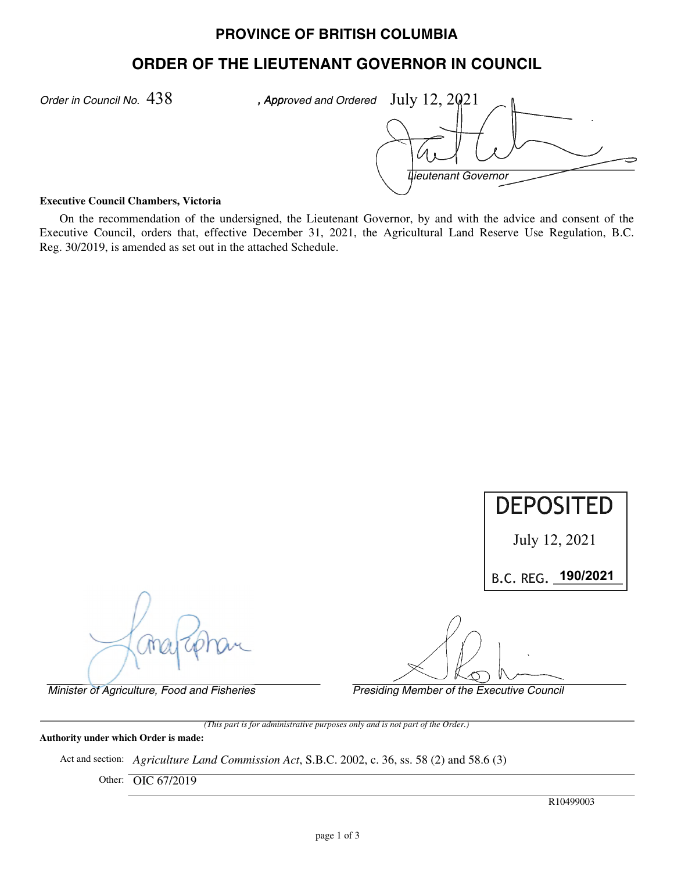# **PROVINCE OF BRITISH COLUMBIA**

# **ORDER OF THE LIEUTENANT GOVERNOR IN COUNCIL**

*Order in Council No. 438* 

*Lieutenant Governor*  $438$  , Approved and Ordered July  $12, 2021$ 

#### **Executive Council Chambers, Victoria**

On the recommendation of the undersigned, the Lieutenant Governor, by and with the advice and consent of the Executive Council, orders that, effective December 31, 2021, the Agricultural Land Reserve Use Regulation, B.C. Reg. 30/2019, is amended as set out in the attached Schedule.

*Minister of Agriculture, Food and Fisheries Presiding Member of the Executive Council (This part is for administrative purposes only and is not part of the Order.)* July 12, 2021 **190/2021 DEPOSITED**  July 12, 2021<br>B.C. REG. 190/2021

**Authority under which Order is made:**

Act and section: *Agriculture Land Commission Act*, S.B.C. 2002, c. 36, ss. 58 (2) and 58.6 (3)

Other: OIC 67/2019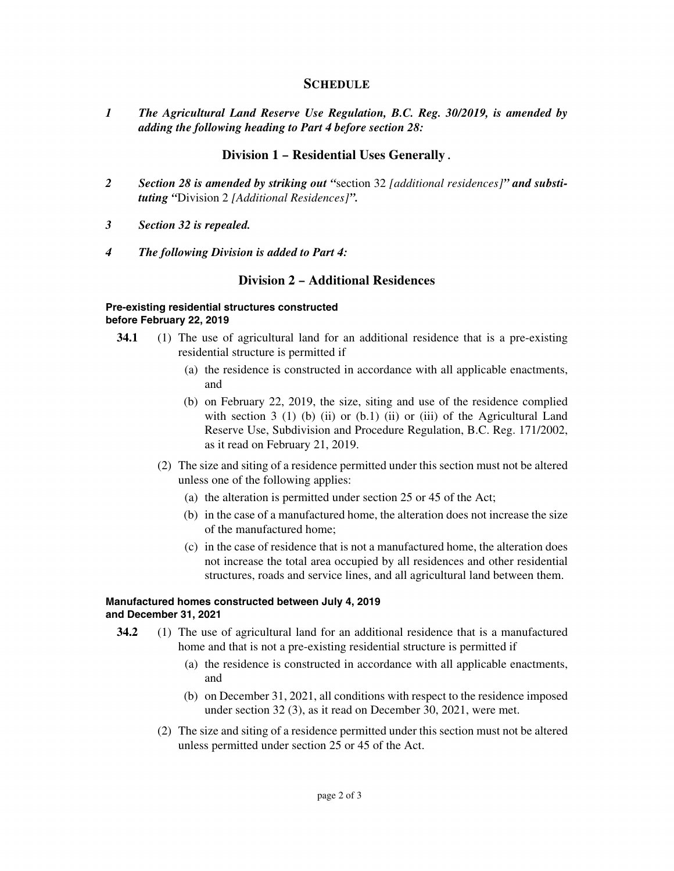## **SCHEDULE**

*1 The Agricultural Land Reserve Use Regulation, B.C. Reg. 30/2019, is amended by adding the following heading to Part 4 before section 28:*

### **Division 1 – Residential Uses Generally** *.*

- *2 Section 28 is amended by striking out "*section 32 *[additional residences]" and substituting "*Division 2 *[Additional Residences]".*
- *3 Section 32 is repealed.*
- *4 The following Division is added to Part 4:*

## **Division 2 – Additional Residences**

#### **Pre-existing residential structures constructed before February 22, 2019**

- **34.1** (1) The use of agricultural land for an additional residence that is a pre-existing residential structure is permitted if
	- (a) the residence is constructed in accordance with all applicable enactments, and
	- (b) on February 22, 2019, the size, siting and use of the residence complied with section 3 (1) (b) (ii) or (b.1) (ii) or (iii) of the Agricultural Land Reserve Use, Subdivision and Procedure Regulation, B.C. Reg. 171/2002, as it read on February 21, 2019.
	- (2) The size and siting of a residence permitted under this section must not be altered unless one of the following applies:
		- (a) the alteration is permitted under section 25 or 45 of the Act;
		- (b) in the case of a manufactured home, the alteration does not increase the size of the manufactured home;
		- (c) in the case of residence that is not a manufactured home, the alteration does not increase the total area occupied by all residences and other residential structures, roads and service lines, and all agricultural land between them.

#### **Manufactured homes constructed between July 4, 2019 and December 31, 2021**

- **34.2** (1) The use of agricultural land for an additional residence that is a manufactured home and that is not a pre-existing residential structure is permitted if
	- (a) the residence is constructed in accordance with all applicable enactments, and
	- (b) on December 31, 2021, all conditions with respect to the residence imposed under section 32 (3), as it read on December 30, 2021, were met.
	- (2) The size and siting of a residence permitted under this section must not be altered unless permitted under section 25 or 45 of the Act.